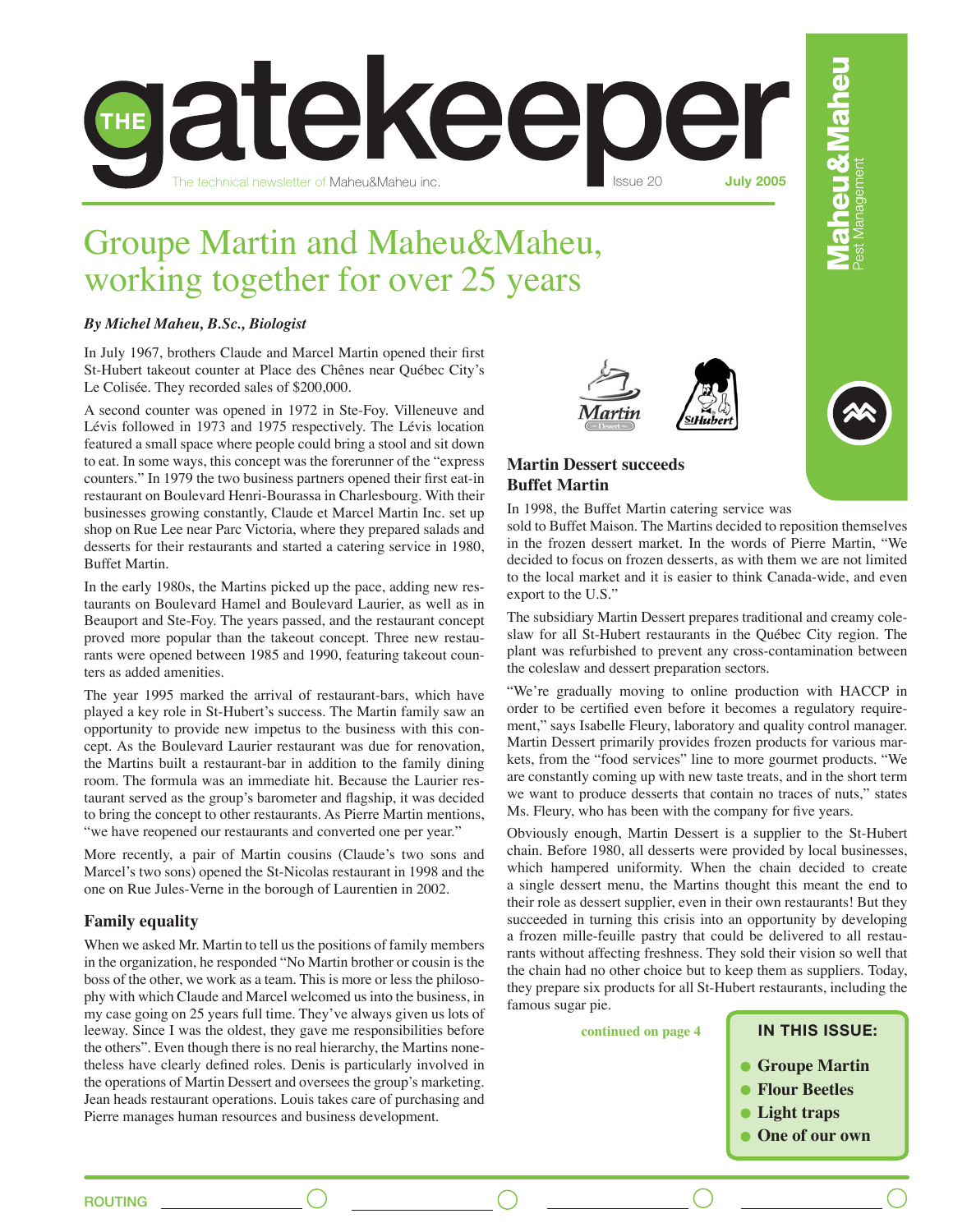

# Groupe Martin and Maheu&Maheu, working together for over 25 years

# *By Michel Maheu, B.Sc., Biologist*

In July 1967, brothers Claude and Marcel Martin opened their first St-Hubert takeout counter at Place des Chênes near Québec City's Le Colisée. They recorded sales of \$200,000.

A second counter was opened in 1972 in Ste-Foy. Villeneuve and Lévis followed in 1973 and 1975 respectively. The Lévis location featured a small space where people could bring a stool and sit down to eat. In some ways, this concept was the forerunner of the "express counters." In 1979 the two business partners opened their first eat-in restaurant on Boulevard Henri-Bourassa in Charlesbourg. With their businesses growing constantly, Claude et Marcel Martin Inc. set up shop on Rue Lee near Parc Victoria, where they prepared salads and desserts for their restaurants and started a catering service in 1980, Buffet Martin.

In the early 1980s, the Martins picked up the pace, adding new restaurants on Boulevard Hamel and Boulevard Laurier, as well as in Beauport and Ste-Foy. The years passed, and the restaurant concept proved more popular than the takeout concept. Three new restaurants were opened between 1985 and 1990, featuring takeout counters as added amenities.

The year 1995 marked the arrival of restaurant-bars, which have played a key role in St-Hubert's success. The Martin family saw an opportunity to provide new impetus to the business with this concept. As the Boulevard Laurier restaurant was due for renovation, the Martins built a restaurant-bar in addition to the family dining room. The formula was an immediate hit. Because the Laurier restaurant served as the group's barometer and flagship, it was decided to bring the concept to other restaurants. As Pierre Martin mentions, "we have reopened our restaurants and converted one per year."

More recently, a pair of Martin cousins (Claude's two sons and Marcel's two sons) opened the St-Nicolas restaurant in 1998 and the one on Rue Jules-Verne in the borough of Laurentien in 2002.

# **Family equality**

When we asked Mr. Martin to tell us the positions of family members in the organization, he responded "No Martin brother or cousin is the boss of the other, we work as a team. This is more or less the philosophy with which Claude and Marcel welcomed us into the business, in my case going on 25 years full time. They've always given us lots of leeway. Since I was the oldest, they gave me responsibilities before the others". Even though there is no real hierarchy, the Martins nonetheless have clearly defined roles. Denis is particularly involved in the operations of Martin Dessert and oversees the group's marketing. Jean heads restaurant operations. Louis takes care of purchasing and Pierre manages human resources and business development.





# **Martin Dessert succeeds Buffet Martin**

In 1998, the Buffet Martin catering service was

sold to Buffet Maison. The Martins decided to reposition themselves in the frozen dessert market. In the words of Pierre Martin, "We decided to focus on frozen desserts, as with them we are not limited to the local market and it is easier to think Canada-wide, and even export to the U.S."

The subsidiary Martin Dessert prepares traditional and creamy coleslaw for all St-Hubert restaurants in the Québec City region. The plant was refurbished to prevent any cross-contamination between the coleslaw and dessert preparation sectors.

"We're gradually moving to online production with HACCP in order to be certified even before it becomes a regulatory requirement," says Isabelle Fleury, laboratory and quality control manager. Martin Dessert primarily provides frozen products for various markets, from the "food services" line to more gourmet products. "We are constantly coming up with new taste treats, and in the short term we want to produce desserts that contain no traces of nuts," states Ms. Fleury, who has been with the company for five years.

Obviously enough, Martin Dessert is a supplier to the St-Hubert chain. Before 1980, all desserts were provided by local businesses, which hampered uniformity. When the chain decided to create a single dessert menu, the Martins thought this meant the end to their role as dessert supplier, even in their own restaurants! But they succeeded in turning this crisis into an opportunity by developing a frozen mille-feuille pastry that could be delivered to all restaurants without affecting freshness. They sold their vision so well that the chain had no other choice but to keep them as suppliers. Today, they prepare six products for all St-Hubert restaurants, including the famous sugar pie.

| continued on page 4 |  |  |  |
|---------------------|--|--|--|
|---------------------|--|--|--|

### **IN THIS ISSUE:**

- **Groupe Martin**
- **Flour Beetles**
- **Light traps**
- **One of our own**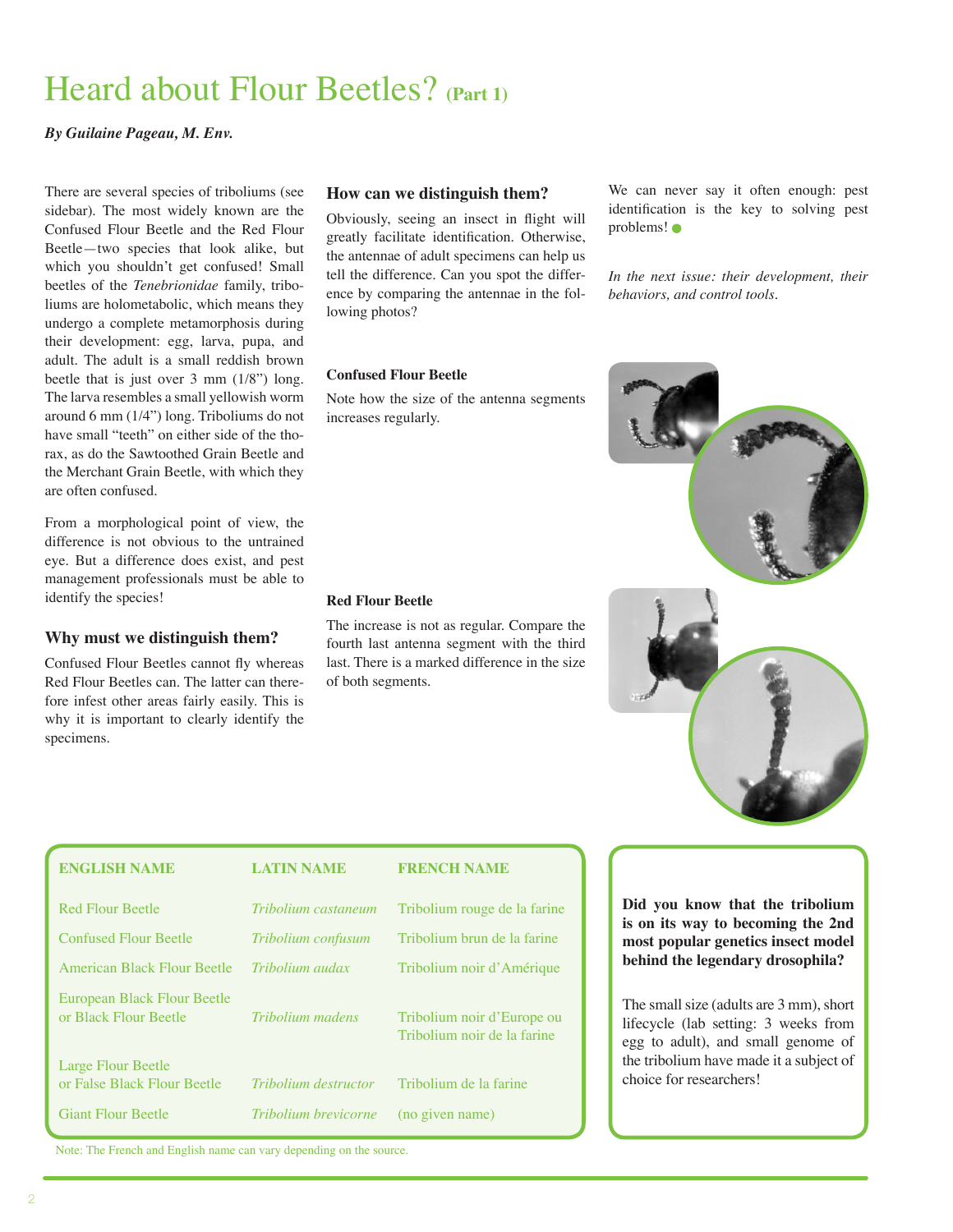# Heard about Flour Beetles? **(Part 1)**

# *By Guilaine Pageau, M. Env.*

There are several species of triboliums (see sidebar). The most widely known are the Confused Flour Beetle and the Red Flour Beetle—two species that look alike, but which you shouldn't get confused! Small beetles of the *Tenebrionidae* family, triboliums are holometabolic, which means they undergo a complete metamorphosis during their development: egg, larva, pupa, and adult. The adult is a small reddish brown beetle that is just over  $3 \text{ mm} (1/8"')$  long. The larva resembles a small yellowish worm around 6 mm (1/4") long. Triboliums do not have small "teeth" on either side of the thorax, as do the Sawtoothed Grain Beetle and the Merchant Grain Beetle, with which they are often confused.

From a morphological point of view, the difference is not obvious to the untrained eye. But a difference does exist, and pest management professionals must be able to identify the species!

# **Why must we distinguish them?**

Confused Flour Beetles cannot fly whereas Red Flour Beetles can. The latter can therefore infest other areas fairly easily. This is why it is important to clearly identify the specimens.

### **How can we distinguish them?**

Obviously, seeing an insect in flight will greatly facilitate identification. Otherwise, the antennae of adult specimens can help us tell the difference. Can you spot the difference by comparing the antennae in the following photos?

#### **Confused Flour Beetle**

Note how the size of the antenna segments increases regularly.

#### **Red Flour Beetle**

The increase is not as regular. Compare the fourth last antenna segment with the third last. There is a marked difference in the size of both segments.

We can never say it often enough: pest identification is the key to solving pest problems!

*In the next issue: their development, their behaviors, and control tools.*



| <b>ENGLISH NAME</b>                                      | <b>LATIN NAME</b>    | <b>FRENCH NAME</b>                                        |
|----------------------------------------------------------|----------------------|-----------------------------------------------------------|
| <b>Red Flour Beetle</b>                                  | Tribolium castaneum  | Tribolium rouge de la farine                              |
| <b>Confused Flour Beetle</b>                             | Tribolium confusum   | Tribolium brun de la farine                               |
| American Black Flour Beetle                              | Tribolium audax      | Tribolium noir d'Amérique                                 |
| European Black Flour Beetle<br>or Black Flour Beetle     | Tribolium madens     | Tribolium noir d'Europe ou<br>Tribolium noir de la farine |
| <b>Large Flour Beetle</b><br>or False Black Flour Beetle | Tribolium destructor | Tribolium de la farine                                    |
| <b>Giant Flour Beetle</b>                                | Tribolium brevicorne | (no given name)                                           |

**Did you know that the tribolium is on its way to becoming the 2nd most popular genetics insect model behind the legendary drosophila?** 

The small size (adults are 3 mm), short lifecycle (lab setting: 3 weeks from egg to adult), and small genome of the tribolium have made it a subject of choice for researchers!

Note: The French and English name can vary depending on the source.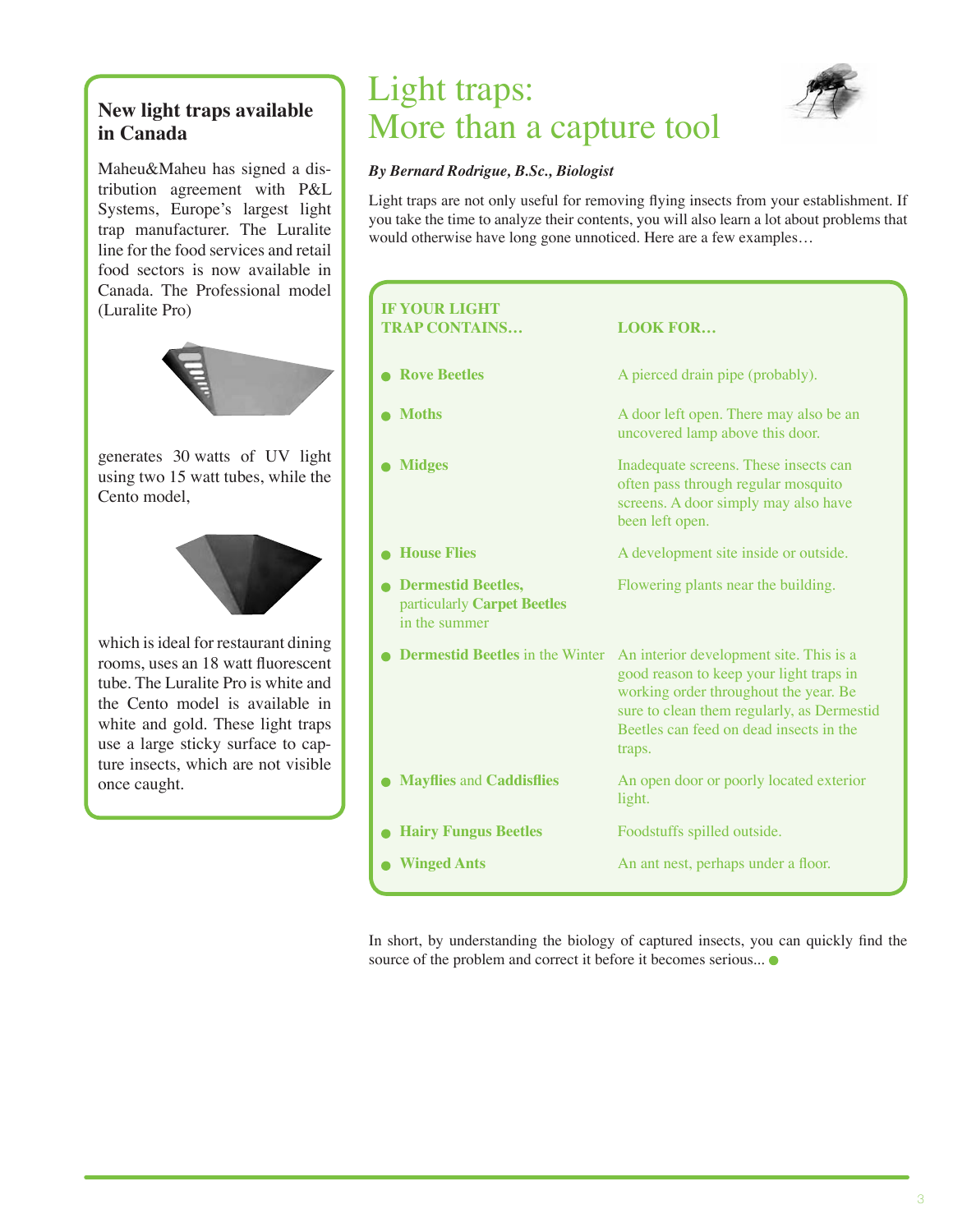# **New light traps available in Canada**

Maheu&Maheu has signed a distribution agreement with P&L Systems, Europe's largest light trap manufacturer. The Luralite line for the food services and retail food sectors is now available in Canada. The Professional model (Luralite Pro)



generates 30 watts of UV light using two 15 watt tubes, while the Cento model,



which is ideal for restaurant dining rooms, uses an 18 watt fluorescent tube. The Luralite Pro is white and the Cento model is available in white and gold. These light traps use a large sticky surface to capture insects, which are not visible once caught.

# Light traps: More than a capture tool



# *By Bernard Rodrigue, B.Sc., Biologist*

Light traps are not only useful for removing flying insects from your establishment. If you take the time to analyze their contents, you will also learn a lot about problems that would otherwise have long gone unnoticed. Here are a few examples…

| <b>IF YOUR LIGHT</b><br><b>TRAP CONTAINS</b>                              | <b>LOOK FOR</b>                                                                                                                                                                                                                |
|---------------------------------------------------------------------------|--------------------------------------------------------------------------------------------------------------------------------------------------------------------------------------------------------------------------------|
| <b>Rove Beetles</b>                                                       | A pierced drain pipe (probably).                                                                                                                                                                                               |
| <b>Moths</b>                                                              | A door left open. There may also be an<br>uncovered lamp above this door.                                                                                                                                                      |
| <b>Midges</b>                                                             | Inadequate screens. These insects can<br>often pass through regular mosquito<br>screens. A door simply may also have<br>been left open.                                                                                        |
| <b>House Flies</b>                                                        | A development site inside or outside.                                                                                                                                                                                          |
| <b>Dermestid Beetles,</b><br>particularly Carpet Beetles<br>in the summer | Flowering plants near the building.                                                                                                                                                                                            |
| <b>Dermestid Beetles</b> in the Winter                                    | An interior development site. This is a<br>good reason to keep your light traps in<br>working order throughout the year. Be<br>sure to clean them regularly, as Dermestid<br>Beetles can feed on dead insects in the<br>traps. |
| <b>Mayflies and Caddisflies</b>                                           | An open door or poorly located exterior<br>light.                                                                                                                                                                              |
| <b>Hairy Fungus Beetles</b>                                               | Foodstuffs spilled outside.                                                                                                                                                                                                    |
| <b>Winged Ants</b>                                                        | An ant nest, perhaps under a floor.                                                                                                                                                                                            |

In short, by understanding the biology of captured insects, you can quickly find the source of the problem and correct it before it becomes serious...  $\bullet$